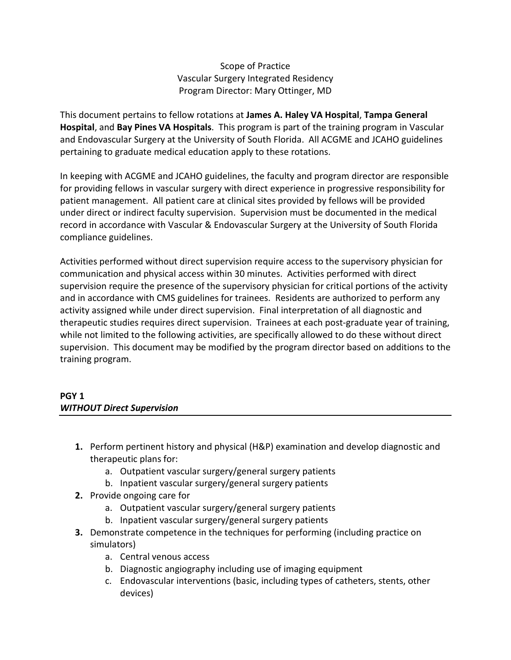## Scope of Practice Vascular Surgery Integrated Residency Program Director: Mary Ottinger, MD

This document pertains to fellow rotations at **James A. Haley VA Hospital**, **Tampa General Hospital**, and **Bay Pines VA Hospitals**. This program is part of the training program in Vascular and Endovascular Surgery at the University of South Florida. All ACGME and JCAHO guidelines pertaining to graduate medical education apply to these rotations.

In keeping with ACGME and JCAHO guidelines, the faculty and program director are responsible for providing fellows in vascular surgery with direct experience in progressive responsibility for patient management. All patient care at clinical sites provided by fellows will be provided under direct or indirect faculty supervision. Supervision must be documented in the medical record in accordance with Vascular & Endovascular Surgery at the University of South Florida compliance guidelines.

Activities performed without direct supervision require access to the supervisory physician for communication and physical access within 30 minutes. Activities performed with direct supervision require the presence of the supervisory physician for critical portions of the activity and in accordance with CMS guidelines for trainees. Residents are authorized to perform any activity assigned while under direct supervision. Final interpretation of all diagnostic and therapeutic studies requires direct supervision. Trainees at each post-graduate year of training, while not limited to the following activities, are specifically allowed to do these without direct supervision. This document may be modified by the program director based on additions to the training program.

# **PGY 1** *WITHOUT Direct Supervision*

- **1.** Perform pertinent history and physical (H&P) examination and develop diagnostic and therapeutic plans for:
	- a. Outpatient vascular surgery/general surgery patients
	- b. Inpatient vascular surgery/general surgery patients
- **2.** Provide ongoing care for
	- a. Outpatient vascular surgery/general surgery patients
	- b. Inpatient vascular surgery/general surgery patients
- **3.** Demonstrate competence in the techniques for performing (including practice on simulators)
	- a. Central venous access
	- b. Diagnostic angiography including use of imaging equipment
	- c. Endovascular interventions (basic, including types of catheters, stents, other devices)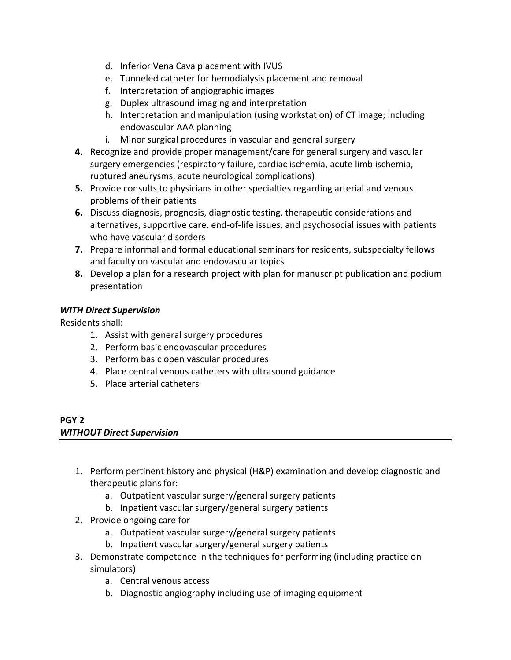- d. Inferior Vena Cava placement with IVUS
- e. Tunneled catheter for hemodialysis placement and removal
- f. Interpretation of angiographic images
- g. Duplex ultrasound imaging and interpretation
- h. Interpretation and manipulation (using workstation) of CT image; including endovascular AAA planning
- i. Minor surgical procedures in vascular and general surgery
- **4.** Recognize and provide proper management/care for general surgery and vascular surgery emergencies (respiratory failure, cardiac ischemia, acute limb ischemia, ruptured aneurysms, acute neurological complications)
- **5.** Provide consults to physicians in other specialties regarding arterial and venous problems of their patients
- **6.** Discuss diagnosis, prognosis, diagnostic testing, therapeutic considerations and alternatives, supportive care, end-of-life issues, and psychosocial issues with patients who have vascular disorders
- **7.** Prepare informal and formal educational seminars for residents, subspecialty fellows and faculty on vascular and endovascular topics
- **8.** Develop a plan for a research project with plan for manuscript publication and podium presentation

Residents shall:

- 1. Assist with general surgery procedures
- 2. Perform basic endovascular procedures
- 3. Perform basic open vascular procedures
- 4. Place central venous catheters with ultrasound guidance
- 5. Place arterial catheters

#### **PGY 2** *WITHOUT Direct Supervision*

- 1. Perform pertinent history and physical (H&P) examination and develop diagnostic and therapeutic plans for:
	- a. Outpatient vascular surgery/general surgery patients
	- b. Inpatient vascular surgery/general surgery patients
- 2. Provide ongoing care for
	- a. Outpatient vascular surgery/general surgery patients
	- b. Inpatient vascular surgery/general surgery patients
- 3. Demonstrate competence in the techniques for performing (including practice on simulators)
	- a. Central venous access
	- b. Diagnostic angiography including use of imaging equipment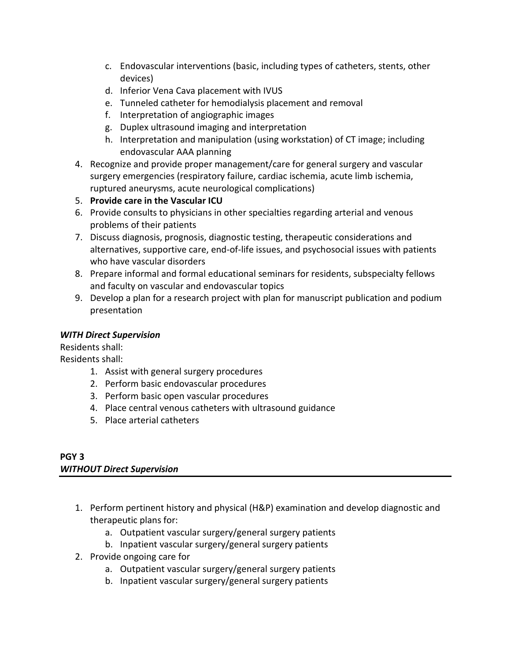- c. Endovascular interventions (basic, including types of catheters, stents, other devices)
- d. Inferior Vena Cava placement with IVUS
- e. Tunneled catheter for hemodialysis placement and removal
- f. Interpretation of angiographic images
- g. Duplex ultrasound imaging and interpretation
- h. Interpretation and manipulation (using workstation) of CT image; including endovascular AAA planning
- 4. Recognize and provide proper management/care for general surgery and vascular surgery emergencies (respiratory failure, cardiac ischemia, acute limb ischemia, ruptured aneurysms, acute neurological complications)
- 5. **Provide care in the Vascular ICU**
- 6. Provide consults to physicians in other specialties regarding arterial and venous problems of their patients
- 7. Discuss diagnosis, prognosis, diagnostic testing, therapeutic considerations and alternatives, supportive care, end-of-life issues, and psychosocial issues with patients who have vascular disorders
- 8. Prepare informal and formal educational seminars for residents, subspecialty fellows and faculty on vascular and endovascular topics
- 9. Develop a plan for a research project with plan for manuscript publication and podium presentation

Residents shall: Residents shall:

- 1. Assist with general surgery procedures
- 2. Perform basic endovascular procedures
- 3. Perform basic open vascular procedures
- 4. Place central venous catheters with ultrasound guidance
- 5. Place arterial catheters

### **PGY 3** *WITHOUT Direct Supervision*

- 1. Perform pertinent history and physical (H&P) examination and develop diagnostic and therapeutic plans for:
	- a. Outpatient vascular surgery/general surgery patients
	- b. Inpatient vascular surgery/general surgery patients
- 2. Provide ongoing care for
	- a. Outpatient vascular surgery/general surgery patients
	- b. Inpatient vascular surgery/general surgery patients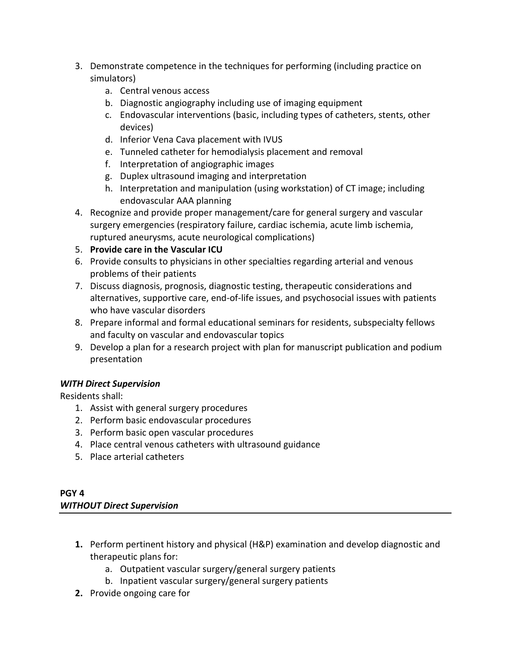- 3. Demonstrate competence in the techniques for performing (including practice on simulators)
	- a. Central venous access
	- b. Diagnostic angiography including use of imaging equipment
	- c. Endovascular interventions (basic, including types of catheters, stents, other devices)
	- d. Inferior Vena Cava placement with IVUS
	- e. Tunneled catheter for hemodialysis placement and removal
	- f. Interpretation of angiographic images
	- g. Duplex ultrasound imaging and interpretation
	- h. Interpretation and manipulation (using workstation) of CT image; including endovascular AAA planning
- 4. Recognize and provide proper management/care for general surgery and vascular surgery emergencies (respiratory failure, cardiac ischemia, acute limb ischemia, ruptured aneurysms, acute neurological complications)
- 5. **Provide care in the Vascular ICU**
- 6. Provide consults to physicians in other specialties regarding arterial and venous problems of their patients
- 7. Discuss diagnosis, prognosis, diagnostic testing, therapeutic considerations and alternatives, supportive care, end-of-life issues, and psychosocial issues with patients who have vascular disorders
- 8. Prepare informal and formal educational seminars for residents, subspecialty fellows and faculty on vascular and endovascular topics
- 9. Develop a plan for a research project with plan for manuscript publication and podium presentation

Residents shall:

- 1. Assist with general surgery procedures
- 2. Perform basic endovascular procedures
- 3. Perform basic open vascular procedures
- 4. Place central venous catheters with ultrasound guidance
- 5. Place arterial catheters

# **PGY 4** *WITHOUT Direct Supervision*

- **1.** Perform pertinent history and physical (H&P) examination and develop diagnostic and therapeutic plans for:
	- a. Outpatient vascular surgery/general surgery patients
	- b. Inpatient vascular surgery/general surgery patients
- **2.** Provide ongoing care for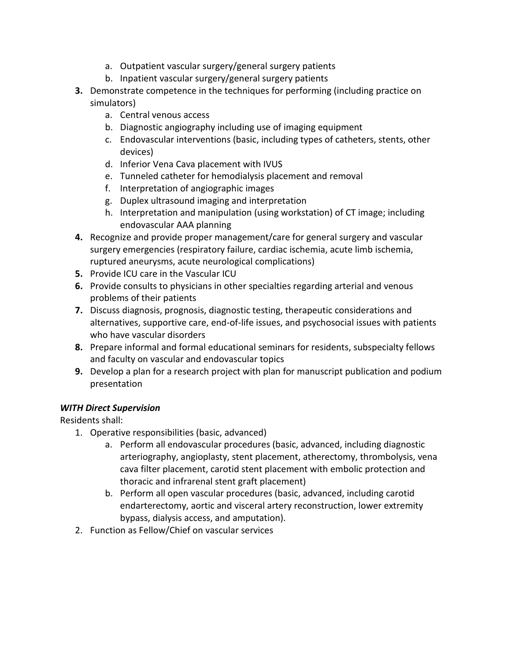- a. Outpatient vascular surgery/general surgery patients
- b. Inpatient vascular surgery/general surgery patients
- **3.** Demonstrate competence in the techniques for performing (including practice on simulators)
	- a. Central venous access
	- b. Diagnostic angiography including use of imaging equipment
	- c. Endovascular interventions (basic, including types of catheters, stents, other devices)
	- d. Inferior Vena Cava placement with IVUS
	- e. Tunneled catheter for hemodialysis placement and removal
	- f. Interpretation of angiographic images
	- g. Duplex ultrasound imaging and interpretation
	- h. Interpretation and manipulation (using workstation) of CT image; including endovascular AAA planning
- **4.** Recognize and provide proper management/care for general surgery and vascular surgery emergencies (respiratory failure, cardiac ischemia, acute limb ischemia, ruptured aneurysms, acute neurological complications)
- **5.** Provide ICU care in the Vascular ICU
- **6.** Provide consults to physicians in other specialties regarding arterial and venous problems of their patients
- **7.** Discuss diagnosis, prognosis, diagnostic testing, therapeutic considerations and alternatives, supportive care, end-of-life issues, and psychosocial issues with patients who have vascular disorders
- **8.** Prepare informal and formal educational seminars for residents, subspecialty fellows and faculty on vascular and endovascular topics
- **9.** Develop a plan for a research project with plan for manuscript publication and podium presentation

Residents shall:

- 1. Operative responsibilities (basic, advanced)
	- a. Perform all endovascular procedures (basic, advanced, including diagnostic arteriography, angioplasty, stent placement, atherectomy, thrombolysis, vena cava filter placement, carotid stent placement with embolic protection and thoracic and infrarenal stent graft placement)
	- b. Perform all open vascular procedures (basic, advanced, including carotid endarterectomy, aortic and visceral artery reconstruction, lower extremity bypass, dialysis access, and amputation).
- 2. Function as Fellow/Chief on vascular services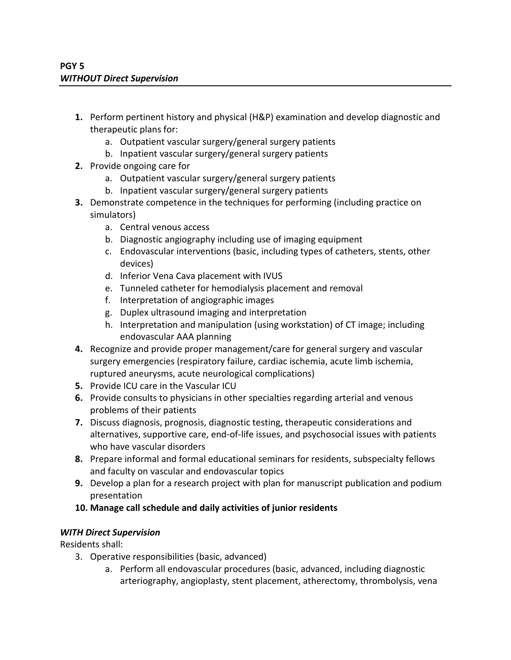- **1.** Perform pertinent history and physical (H&P) examination and develop diagnostic and therapeutic plans for:
	- a. Outpatient vascular surgery/general surgery patients
	- b. Inpatient vascular surgery/general surgery patients
- **2.** Provide ongoing care for
	- a. Outpatient vascular surgery/general surgery patients
	- b. Inpatient vascular surgery/general surgery patients
- **3.** Demonstrate competence in the techniques for performing (including practice on simulators)
	- a. Central venous access
	- b. Diagnostic angiography including use of imaging equipment
	- c. Endovascular interventions (basic, including types of catheters, stents, other devices)
	- d. Inferior Vena Cava placement with IVUS
	- e. Tunneled catheter for hemodialysis placement and removal
	- f. Interpretation of angiographic images
	- g. Duplex ultrasound imaging and interpretation
	- h. Interpretation and manipulation (using workstation) of CT image; including endovascular AAA planning
- **4.** Recognize and provide proper management/care for general surgery and vascular surgery emergencies (respiratory failure, cardiac ischemia, acute limb ischemia, ruptured aneurysms, acute neurological complications)
- **5.** Provide ICU care in the Vascular ICU
- **6.** Provide consults to physicians in other specialties regarding arterial and venous problems of their patients
- **7.** Discuss diagnosis, prognosis, diagnostic testing, therapeutic considerations and alternatives, supportive care, end-of-life issues, and psychosocial issues with patients who have vascular disorders
- **8.** Prepare informal and formal educational seminars for residents, subspecialty fellows and faculty on vascular and endovascular topics
- **9.** Develop a plan for a research project with plan for manuscript publication and podium presentation
- **10. Manage call schedule and daily activities of junior residents**

Residents shall:

- 3. Operative responsibilities (basic, advanced)
	- a. Perform all endovascular procedures (basic, advanced, including diagnostic arteriography, angioplasty, stent placement, atherectomy, thrombolysis, vena